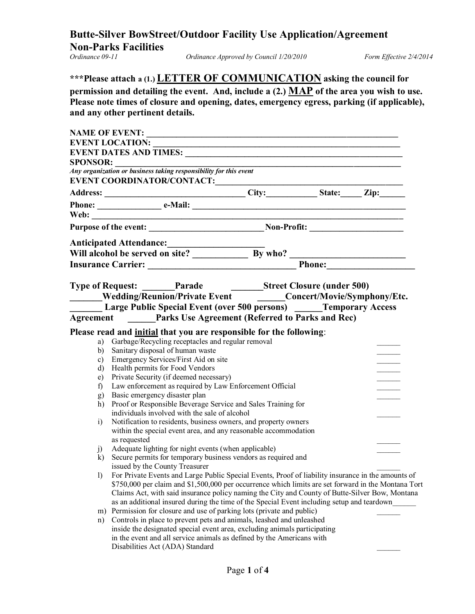# **Butte-Silver BowStreet/Outdoor Facility Use Application/Agreement Non-Parks Facilities**

*Ordinance Approved by Council 1/20/2010 Form Effective 2/4/2014* 

| ***Please attach a (1.) LETTER OF COMMUNICATION asking the council for                                                          |
|---------------------------------------------------------------------------------------------------------------------------------|
| permission and detailing the event. And, include a (2.) MAP of the area you wish to use.                                        |
| Please note times of closure and opening, dates, emergency egress, parking (if applicable),<br>and any other pertinent details. |

| <b>SPONSOR:</b> |                                                                                                                                    |  | <u> 1980 - Johann Barbara, martin amerikan basar dan berasal dalam basar dalam basar dalam basar dalam basar dala</u> |                                                                                                       |
|-----------------|------------------------------------------------------------------------------------------------------------------------------------|--|-----------------------------------------------------------------------------------------------------------------------|-------------------------------------------------------------------------------------------------------|
|                 | <b>Any organization or business taking responsibility for this event</b>                                                           |  |                                                                                                                       |                                                                                                       |
|                 |                                                                                                                                    |  |                                                                                                                       |                                                                                                       |
|                 |                                                                                                                                    |  |                                                                                                                       |                                                                                                       |
|                 |                                                                                                                                    |  |                                                                                                                       |                                                                                                       |
|                 |                                                                                                                                    |  |                                                                                                                       |                                                                                                       |
|                 |                                                                                                                                    |  |                                                                                                                       | Purpose of the event: _________________________________Non-Profit: _________________________________  |
|                 |                                                                                                                                    |  |                                                                                                                       |                                                                                                       |
|                 |                                                                                                                                    |  |                                                                                                                       |                                                                                                       |
|                 |                                                                                                                                    |  |                                                                                                                       |                                                                                                       |
|                 | Type of Request: _______Parade _______________Street Closure (under 500)                                                           |  |                                                                                                                       |                                                                                                       |
|                 |                                                                                                                                    |  |                                                                                                                       | Wedding/Reunion/Private Event ________Concert/Movie/Symphony/Etc.                                     |
|                 | <b>Large Public Special Event (over 500 persons)</b> _____Temporary Access                                                         |  |                                                                                                                       |                                                                                                       |
|                 | Agreement Parks Use Agreement (Referred to Parks and Rec)                                                                          |  |                                                                                                                       |                                                                                                       |
|                 |                                                                                                                                    |  |                                                                                                                       |                                                                                                       |
|                 | Please read and <i>initial</i> that you are responsible for the following:<br>a) Garbage/Recycling receptacles and regular removal |  |                                                                                                                       |                                                                                                       |
|                 | b) Sanitary disposal of human waste                                                                                                |  |                                                                                                                       |                                                                                                       |
|                 | c) Emergency Services/First Aid on site                                                                                            |  |                                                                                                                       |                                                                                                       |
|                 | d) Health permits for Food Vendors                                                                                                 |  |                                                                                                                       |                                                                                                       |
| e)              | Private Security (if deemed necessary)                                                                                             |  |                                                                                                                       |                                                                                                       |
| f               | Law enforcement as required by Law Enforcement Official                                                                            |  |                                                                                                                       |                                                                                                       |
| g)              | Basic emergency disaster plan                                                                                                      |  |                                                                                                                       |                                                                                                       |
| h)              | Proof or Responsible Beverage Service and Sales Training for                                                                       |  |                                                                                                                       |                                                                                                       |
|                 | individuals involved with the sale of alcohol                                                                                      |  |                                                                                                                       |                                                                                                       |
| $\mathbf{i}$    | Notification to residents, business owners, and property owners                                                                    |  |                                                                                                                       |                                                                                                       |
|                 | within the special event area, and any reasonable accommodation                                                                    |  |                                                                                                                       |                                                                                                       |
|                 | as requested                                                                                                                       |  |                                                                                                                       |                                                                                                       |
| $\mathbf{j}$    | Adequate lighting for night events (when applicable)                                                                               |  |                                                                                                                       |                                                                                                       |
|                 | k) Secure permits for temporary business vendors as required and                                                                   |  |                                                                                                                       |                                                                                                       |
|                 | issued by the County Treasurer                                                                                                     |  |                                                                                                                       |                                                                                                       |
|                 |                                                                                                                                    |  |                                                                                                                       | 1) For Private Events and Large Public Special Events, Proof of liability insurance in the amounts of |
|                 |                                                                                                                                    |  |                                                                                                                       | \$750,000 per claim and \$1,500,000 per occurrence which limits are set forward in the Montana Tort   |
|                 |                                                                                                                                    |  |                                                                                                                       | Claims Act, with said insurance policy naming the City and County of Butte-Silver Bow, Montana        |
|                 | as an additional insured during the time of the Special Event including setup and teardown                                         |  |                                                                                                                       |                                                                                                       |
| m)              | Permission for closure and use of parking lots (private and public)                                                                |  |                                                                                                                       |                                                                                                       |
| n)              | Controls in place to prevent pets and animals, leashed and unleashed                                                               |  |                                                                                                                       |                                                                                                       |
|                 | inside the designated special event area, excluding animals participating                                                          |  |                                                                                                                       |                                                                                                       |
|                 | in the event and all service animals as defined by the Americans with<br>Disabilities Act (ADA) Standard                           |  |                                                                                                                       |                                                                                                       |
|                 |                                                                                                                                    |  |                                                                                                                       |                                                                                                       |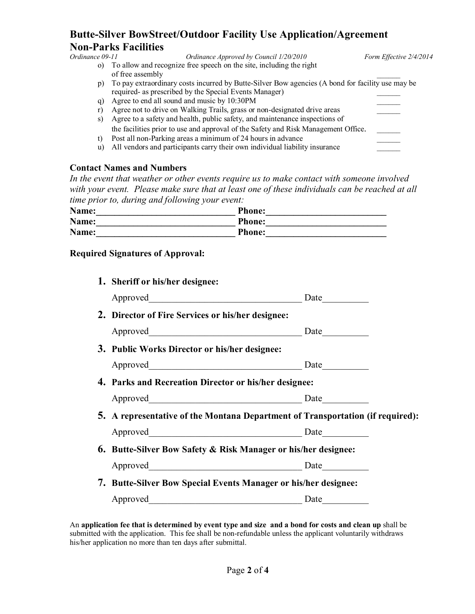## **Butte-Silver BowStreet/Outdoor Facility Use Application/Agreement Non-Parks Facilities**

*Ordinance Approved by Council 1/20/2010 Form Effective 2/4/2014* o) To allow and recognize free speech on the site, including the right of free assembly p) To pay extraordinary costs incurred by Butte-Silver Bow agencies (A bond for facility use may be required- as prescribed by the Special Events Manager) \_\_\_\_\_\_ q) Agree to end all sound and music by 10:30PM \_\_\_\_\_\_ r) Agree not to drive on Walking Trails, grass or non-designated drive areas s) Agree to a safety and health, public safety, and maintenance inspections of the facilities prior to use and approval of the Safety and Risk Management Office. t) Post all non-Parking areas a minimum of 24 hours in advance

u) All vendors and participants carry their own individual liability insurance

#### **Contact Names and Numbers**

*In the event that weather or other events require us to make contact with someone involved with your event. Please make sure that at least one of these individuals can be reached at all time prior to, during and following your event:*

| Name: | <b>Phone:</b> |
|-------|---------------|
| Name: | <b>Phone:</b> |
| Name: | <b>Phone:</b> |

#### **Required Signatures of Approval:**

| 1. Sheriff or his/her designee:                                                |  |
|--------------------------------------------------------------------------------|--|
|                                                                                |  |
| 2. Director of Fire Services or his/her designee:                              |  |
|                                                                                |  |
| 3. Public Works Director or his/her designee:                                  |  |
|                                                                                |  |
| 4. Parks and Recreation Director or his/her designee:                          |  |
|                                                                                |  |
| 5. A representative of the Montana Department of Transportation (if required): |  |
|                                                                                |  |
| <b>6. Butte-Silver Bow Safety &amp; Risk Manager or his/her designee:</b>      |  |
|                                                                                |  |
| 7. Butte-Silver Bow Special Events Manager or his/her designee:                |  |
|                                                                                |  |
|                                                                                |  |

An **application fee that is determined by event type and size and a bond for costs and clean up** shall be submitted with the application. This fee shall be non-refundable unless the applicant voluntarily withdraws his/her application no more than ten days after submittal.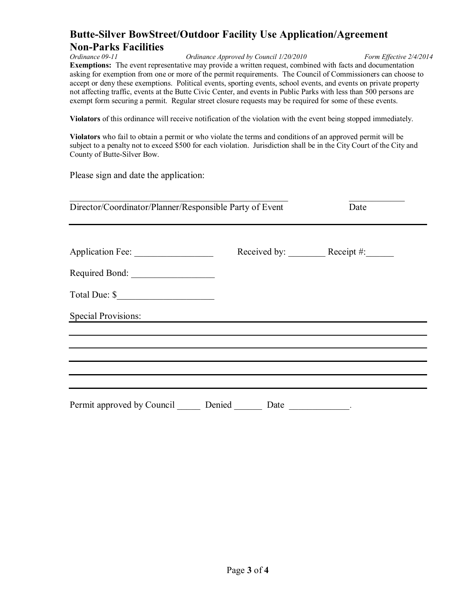## **Butte-Silver BowStreet/Outdoor Facility Use Application/Agreement Non-Parks Facilities**

*Ordinance Approved by Council 1/20/2010 Form Effective 2/4/2014* **Exemptions:** The event representative may provide a written request, combined with facts and documentation asking for exemption from one or more of the permit requirements. The Council of Commissioners can choose to accept or deny these exemptions. Political events, sporting events, school events, and events on private property not affecting traffic, events at the Butte Civic Center, and events in Public Parks with less than 500 persons are exempt form securing a permit. Regular street closure requests may be required for some of these events.

**Violators** of this ordinance will receive notification of the violation with the event being stopped immediately.

**Violators** who fail to obtain a permit or who violate the terms and conditions of an approved permit will be subject to a penalty not to exceed \$500 for each violation. Jurisdiction shall be in the City Court of the City and County of Butte-Silver Bow.

Please sign and date the application:

| Director/Coordinator/Planner/Responsible Party of Event |        |                                                                                                                  | Date                    |  |
|---------------------------------------------------------|--------|------------------------------------------------------------------------------------------------------------------|-------------------------|--|
| Application Fee:<br>Required Bond:                      |        |                                                                                                                  | Received by: Receipt #: |  |
|                                                         |        |                                                                                                                  |                         |  |
| <b>Special Provisions:</b>                              |        | and the control of the control of the control of the control of the control of the control of the control of the |                         |  |
|                                                         |        |                                                                                                                  |                         |  |
| Permit approved by Council                              | Denied | Date                                                                                                             |                         |  |